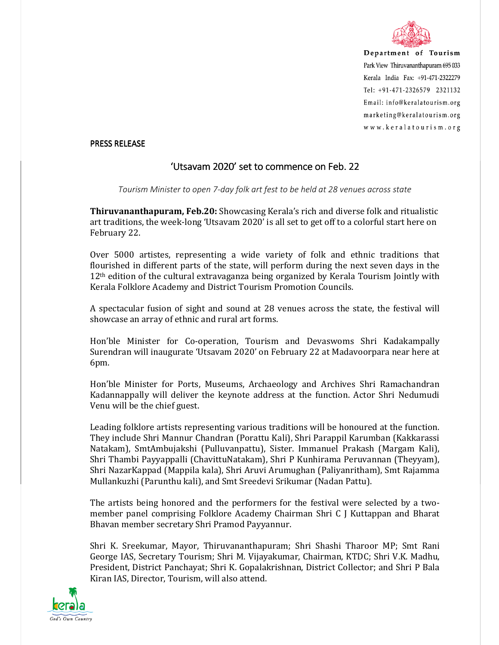

Department of Tourism Park View Thiruvananthapuram 695 033 Kerala India Fax: +91-471-2322279 Tel: +91-471-2326579 2321132 Email: info@keralatourism.org marketing@keralatourism.org www.keralatourism.org

## PRESS RELEASE

## 'Utsavam 2020' set to commence on Feb. 22

*Tourism Minister to open 7-day folk art fest to be held at 28 venues across state* 

**Thiruvananthapuram, Feb.20:** Showcasing Kerala's rich and diverse folk and ritualistic art traditions, the week-long 'Utsavam 2020' is all set to get off to a colorful start here on February 22.

Over 5000 artistes, representing a wide variety of folk and ethnic traditions that flourished in different parts of the state, will perform during the next seven days in the 12<sup>th</sup> edition of the cultural extravaganza being organized by Kerala Tourism Jointly with Kerala Folklore Academy and District Tourism Promotion Councils.

A spectacular fusion of sight and sound at 28 venues across the state, the festival will showcase an array of ethnic and rural art forms.

Hon'ble Minister for Co-operation, Tourism and Devaswoms Shri Kadakampally Surendran will inaugurate 'Utsavam 2020' on February 22 at Madavoorpara near here at 6pm.

Hon'ble Minister for Ports, Museums, Archaeology and Archives Shri Ramachandran Kadannappally will deliver the keynote address at the function. Actor Shri Nedumudi Venu will be the chief guest.

Leading folklore artists representing various traditions will be honoured at the function. They include Shri Mannur Chandran (Porattu Kali), Shri Parappil Karumban (Kakkarassi Natakam), SmtAmbujakshi (Pulluvanpattu), Sister. Immanuel Prakash (Margam Kali), Shri Thambi Payyappalli (ChavittuNatakam), Shri P Kunhirama Peruvannan (Theyyam), Shri NazarKappad (Mappila kala), Shri Aruvi Arumughan (Paliyanritham), Smt Rajamma Mullankuzhi (Parunthu kali), and Smt Sreedevi Srikumar (Nadan Pattu).

The artists being honored and the performers for the festival were selected by a twomember panel comprising Folklore Academy Chairman Shri C J Kuttappan and Bharat Bhavan member secretary Shri Pramod Payyannur.

Shri K. Sreekumar, Mayor, Thiruvananthapuram; Shri Shashi Tharoor MP; Smt Rani George IAS, Secretary Tourism; Shri M. Vijayakumar, Chairman, KTDC; Shri V.K. Madhu, President, District Panchayat; Shri K. Gopalakrishnan, District Collector; and Shri P Bala Kiran IAS, Director, Tourism, will also attend.